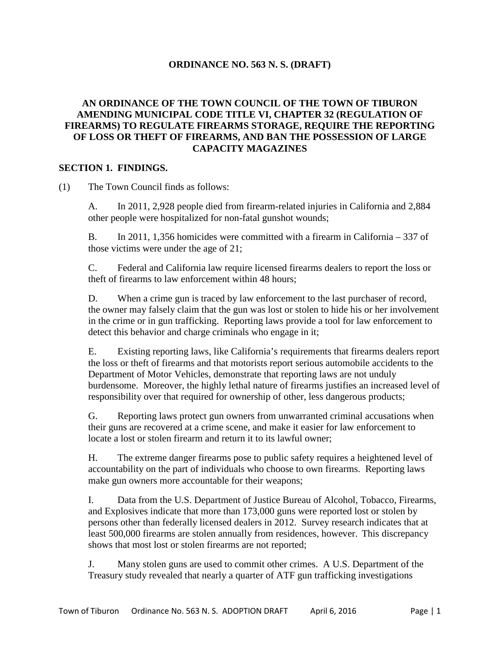#### **ORDINANCE NO. 563 N. S. (DRAFT)**

## **AN ORDINANCE OF THE TOWN COUNCIL OF THE TOWN OF TIBURON AMENDING MUNICIPAL CODE TITLE VI, CHAPTER 32 (REGULATION OF FIREARMS) TO REGULATE FIREARMS STORAGE, REQUIRE THE REPORTING OF LOSS OR THEFT OF FIREARMS, AND BAN THE POSSESSION OF LARGE CAPACITY MAGAZINES**

#### **SECTION 1. FINDINGS.**

(1) The Town Council finds as follows:

A. In 2011, 2,928 people died from firearm-related injuries in California and 2,884 other people were hospitalized for non-fatal gunshot wounds;

B. In 2011, 1,356 homicides were committed with a firearm in California – 337 of those victims were under the age of 21;

C. Federal and California law require licensed firearms dealers to report the loss or theft of firearms to law enforcement within 48 hours;

D. When a crime gun is traced by law enforcement to the last purchaser of record, the owner may falsely claim that the gun was lost or stolen to hide his or her involvement in the crime or in gun trafficking. Reporting laws provide a tool for law enforcement to detect this behavior and charge criminals who engage in it;

E. Existing reporting laws, like California's requirements that firearms dealers report the loss or theft of firearms and that motorists report serious automobile accidents to the Department of Motor Vehicles, demonstrate that reporting laws are not unduly burdensome. Moreover, the highly lethal nature of firearms justifies an increased level of responsibility over that required for ownership of other, less dangerous products;

G. Reporting laws protect gun owners from unwarranted criminal accusations when their guns are recovered at a crime scene, and make it easier for law enforcement to locate a lost or stolen firearm and return it to its lawful owner;

H. The extreme danger firearms pose to public safety requires a heightened level of accountability on the part of individuals who choose to own firearms. Reporting laws make gun owners more accountable for their weapons;

I. Data from the U.S. Department of Justice Bureau of Alcohol, Tobacco, Firearms, and Explosives indicate that more than 173,000 guns were reported lost or stolen by persons other than federally licensed dealers in 2012. Survey research indicates that at least 500,000 firearms are stolen annually from residences, however. This discrepancy shows that most lost or stolen firearms are not reported;

J. Many stolen guns are used to commit other crimes. A U.S. Department of the Treasury study revealed that nearly a quarter of ATF gun trafficking investigations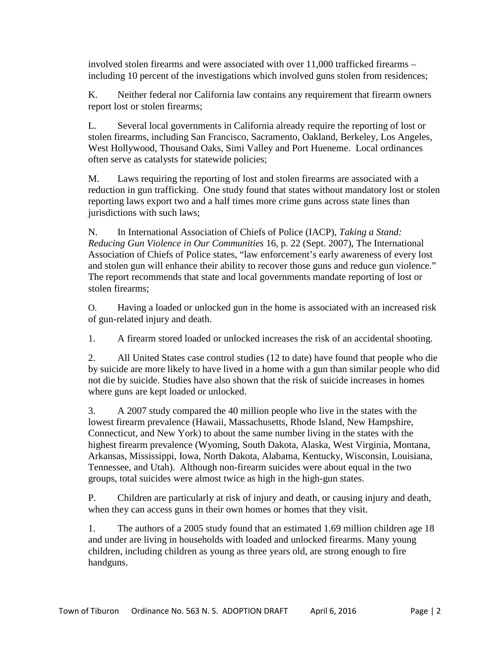involved stolen firearms and were associated with over 11,000 trafficked firearms – including 10 percent of the investigations which involved guns stolen from residences;

K. Neither federal nor California law contains any requirement that firearm owners report lost or stolen firearms;

L. Several local governments in California already require the reporting of lost or stolen firearms, including San Francisco, Sacramento, Oakland, Berkeley, Los Angeles, West Hollywood, Thousand Oaks, Simi Valley and Port Hueneme. Local ordinances often serve as catalysts for statewide policies;

M. Laws requiring the reporting of lost and stolen firearms are associated with a reduction in gun trafficking. One study found that states without mandatory lost or stolen reporting laws export two and a half times more crime guns across state lines than jurisdictions with such laws;

N. In International Association of Chiefs of Police (IACP), *Taking a Stand: Reducing Gun Violence in Our Communities* 16, p. 22 (Sept. 2007), The International Association of Chiefs of Police states, "law enforcement's early awareness of every lost and stolen gun will enhance their ability to recover those guns and reduce gun violence." The report recommends that state and local governments mandate reporting of lost or stolen firearms;

O. Having a loaded or unlocked gun in the home is associated with an increased risk of gun-related injury and death.

1. A firearm stored loaded or unlocked increases the risk of an accidental shooting.

2. All United States case control studies (12 to date) have found that people who die by suicide are more likely to have lived in a home with a gun than similar people who did not die by suicide. Studies have also shown that the risk of suicide increases in homes where guns are kept loaded or unlocked.

3. A 2007 study compared the 40 million people who live in the states with the lowest firearm prevalence (Hawaii, Massachusetts, Rhode Island, New Hampshire, Connecticut, and New York) to about the same number living in the states with the highest firearm prevalence (Wyoming, South Dakota, Alaska, West Virginia, Montana, Arkansas, Mississippi, Iowa, North Dakota, Alabama, Kentucky, Wisconsin, Louisiana, Tennessee, and Utah). Although non-firearm suicides were about equal in the two groups, total suicides were almost twice as high in the high-gun states.

P. Children are particularly at risk of injury and death, or causing injury and death, when they can access guns in their own homes or homes that they visit.

1. The authors of a 2005 study found that an estimated 1.69 million children age 18 and under are living in households with loaded and unlocked firearms. Many young children, including children as young as three years old, are strong enough to fire handguns.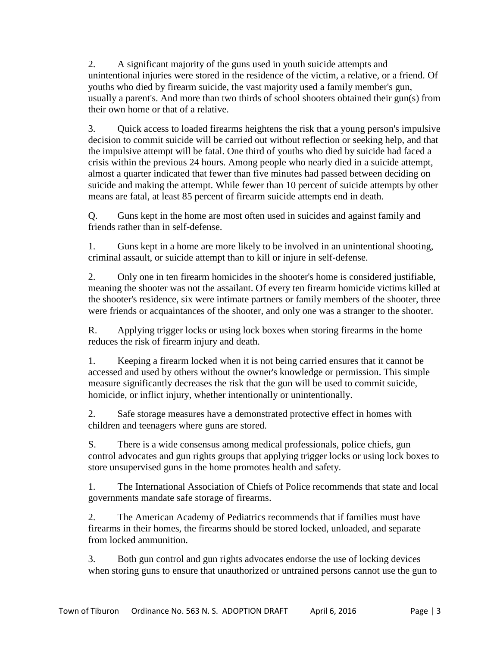2. A significant majority of the guns used in youth suicide attempts and unintentional injuries were stored in the residence of the victim, a relative, or a friend. Of youths who died by firearm suicide, the vast majority used a family member's gun, usually a parent's. And more than two thirds of school shooters obtained their gun(s) from their own home or that of a relative.

3. Quick access to loaded firearms heightens the risk that a young person's impulsive decision to commit suicide will be carried out without reflection or seeking help, and that the impulsive attempt will be fatal. One third of youths who died by suicide had faced a crisis within the previous 24 hours. Among people who nearly died in a suicide attempt, almost a quarter indicated that fewer than five minutes had passed between deciding on suicide and making the attempt. While fewer than 10 percent of suicide attempts by other means are fatal, at least 85 percent of firearm suicide attempts end in death.

Q. Guns kept in the home are most often used in suicides and against family and friends rather than in self-defense.

1. Guns kept in a home are more likely to be involved in an unintentional shooting, criminal assault, or suicide attempt than to kill or injure in self-defense.

2. Only one in ten firearm homicides in the shooter's home is considered justifiable, meaning the shooter was not the assailant. Of every ten firearm homicide victims killed at the shooter's residence, six were intimate partners or family members of the shooter, three were friends or acquaintances of the shooter, and only one was a stranger to the shooter.

R. Applying trigger locks or using lock boxes when storing firearms in the home reduces the risk of firearm injury and death.

1. Keeping a firearm locked when it is not being carried ensures that it cannot be accessed and used by others without the owner's knowledge or permission. This simple measure significantly decreases the risk that the gun will be used to commit suicide, homicide, or inflict injury, whether intentionally or unintentionally.

2. Safe storage measures have a demonstrated protective effect in homes with children and teenagers where guns are stored.

S. There is a wide consensus among medical professionals, police chiefs, gun control advocates and gun rights groups that applying trigger locks or using lock boxes to store unsupervised guns in the home promotes health and safety.

1. The International Association of Chiefs of Police recommends that state and local governments mandate safe storage of firearms.

2. The American Academy of Pediatrics recommends that if families must have firearms in their homes, the firearms should be stored locked, unloaded, and separate from locked ammunition.

3. Both gun control and gun rights advocates endorse the use of locking devices when storing guns to ensure that unauthorized or untrained persons cannot use the gun to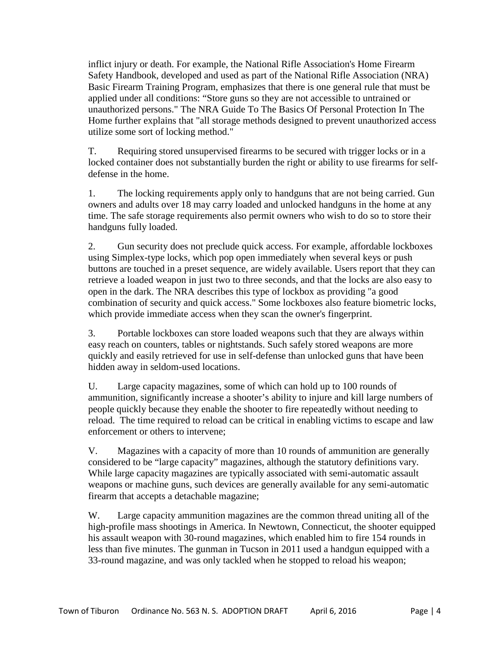inflict injury or death. For example, the National Rifle Association's Home Firearm Safety Handbook, developed and used as part of the National Rifle Association (NRA) Basic Firearm Training Program, emphasizes that there is one general rule that must be applied under all conditions: "Store guns so they are not accessible to untrained or unauthorized persons." The NRA Guide To The Basics Of Personal Protection In The Home further explains that "all storage methods designed to prevent unauthorized access utilize some sort of locking method."

T. Requiring stored unsupervised firearms to be secured with trigger locks or in a locked container does not substantially burden the right or ability to use firearms for selfdefense in the home.

1. The locking requirements apply only to handguns that are not being carried. Gun owners and adults over 18 may carry loaded and unlocked handguns in the home at any time. The safe storage requirements also permit owners who wish to do so to store their handguns fully loaded.

2. Gun security does not preclude quick access. For example, affordable lockboxes using Simplex-type locks, which pop open immediately when several keys or push buttons are touched in a preset sequence, are widely available. Users report that they can retrieve a loaded weapon in just two to three seconds, and that the locks are also easy to open in the dark. The NRA describes this type of lockbox as providing "a good combination of security and quick access." Some lockboxes also feature biometric locks, which provide immediate access when they scan the owner's fingerprint.

3. Portable lockboxes can store loaded weapons such that they are always within easy reach on counters, tables or nightstands. Such safely stored weapons are more quickly and easily retrieved for use in self-defense than unlocked guns that have been hidden away in seldom-used locations.

U. Large capacity magazines, some of which can hold up to 100 rounds of ammunition, significantly increase a shooter's ability to injure and kill large numbers of people quickly because they enable the shooter to fire repeatedly without needing to reload. The time required to reload can be critical in enabling victims to escape and law enforcement or others to intervene;

V. Magazines with a capacity of more than 10 rounds of ammunition are generally considered to be "large capacity" magazines, although the statutory definitions vary. While large capacity magazines are typically associated with semi-automatic assault weapons or machine guns, such devices are generally available for any semi-automatic firearm that accepts a detachable magazine;

W. Large capacity ammunition magazines are the common thread uniting all of the high-profile mass shootings in America. In Newtown, Connecticut, the shooter equipped his assault weapon with 30-round magazines, which enabled him to fire 154 rounds in less than five minutes. The gunman in Tucson in 2011 used a handgun equipped with a 33-round magazine, and was only tackled when he stopped to reload his weapon;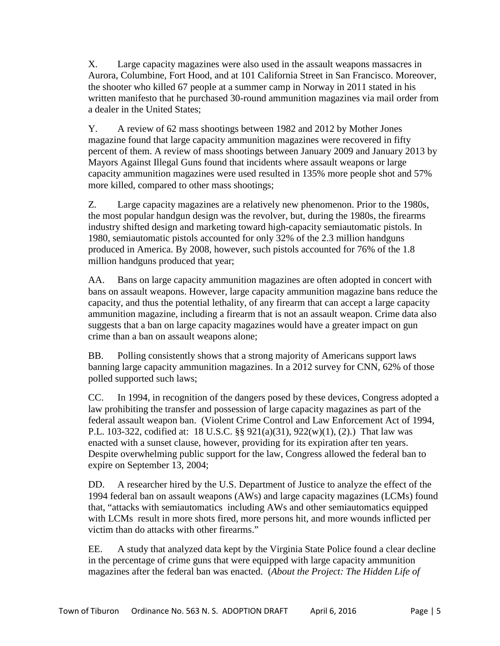X. Large capacity magazines were also used in the assault weapons massacres in Aurora, Columbine, Fort Hood, and at 101 California Street in San Francisco. Moreover, the shooter who killed 67 people at a summer camp in Norway in 2011 stated in his written manifesto that he purchased 30-round ammunition magazines via mail order from a dealer in the United States;

Y. A review of 62 mass shootings between 1982 and 2012 by Mother Jones magazine found that large capacity ammunition magazines were recovered in fifty percent of them. A review of mass shootings between January 2009 and January 2013 by Mayors Against Illegal Guns found that incidents where assault weapons or large capacity ammunition magazines were used resulted in 135% more people shot and 57% more killed, compared to other mass shootings;

Z. Large capacity magazines are a relatively new phenomenon. Prior to the 1980s, the most popular handgun design was the revolver, but, during the 1980s, the firearms industry shifted design and marketing toward high-capacity semiautomatic pistols. In 1980, semiautomatic pistols accounted for only 32% of the 2.3 million handguns produced in America. By 2008, however, such pistols accounted for 76% of the 1.8 million handguns produced that year;

AA. Bans on large capacity ammunition magazines are often adopted in concert with bans on assault weapons. However, large capacity ammunition magazine bans reduce the capacity, and thus the potential lethality, of any firearm that can accept a large capacity ammunition magazine, including a firearm that is not an assault weapon. Crime data also suggests that a ban on large capacity magazines would have a greater impact on gun crime than a ban on assault weapons alone;

BB. Polling consistently shows that a strong majority of Americans support laws banning large capacity ammunition magazines. In a 2012 survey for CNN, 62% of those polled supported such laws;

CC. In 1994, in recognition of the dangers posed by these devices, Congress adopted a law prohibiting the transfer and possession of large capacity magazines as part of the federal assault weapon ban. (Violent Crime Control and Law Enforcement Act of 1994, P.L. 103-322, codified at: 18 U.S.C. §§ 921(a)(31), 922(w)(1), (2).) That law was enacted with a sunset clause, however, providing for its expiration after ten years. Despite overwhelming public support for the law, Congress allowed the federal ban to expire on September 13, 2004;

DD. A researcher hired by the U.S. Department of Justice to analyze the effect of the 1994 federal ban on assault weapons (AWs) and large capacity magazines (LCMs) found that, "attacks with semiautomatics including AWs and other semiautomatics equipped with LCMs result in more shots fired, more persons hit, and more wounds inflicted per victim than do attacks with other firearms."

EE. A study that analyzed data kept by the Virginia State Police found a clear decline in the percentage of crime guns that were equipped with large capacity ammunition magazines after the federal ban was enacted. (*About the Project: The Hidden Life of*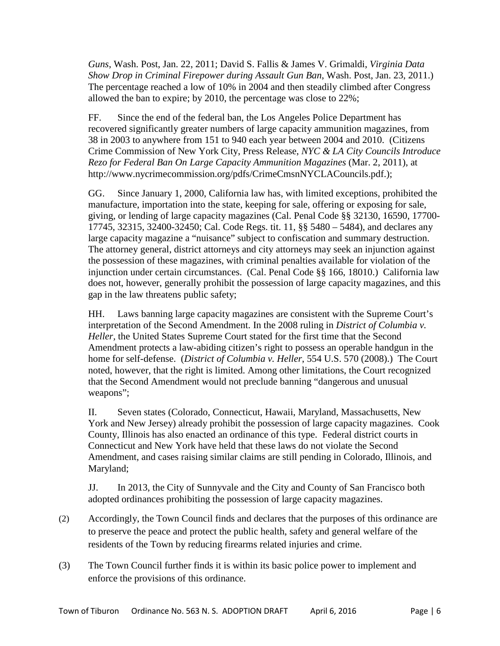*Guns*, Wash. Post, Jan. 22, 2011; David S. Fallis & James V. Grimaldi, *Virginia Data Show Drop in Criminal Firepower during Assault Gun Ban*, Wash. Post, Jan. 23, 2011.) The percentage reached a low of 10% in 2004 and then steadily climbed after Congress allowed the ban to expire; by 2010, the percentage was close to 22%;

FF. Since the end of the federal ban, the Los Angeles Police Department has recovered significantly greater numbers of large capacity ammunition magazines, from 38 in 2003 to anywhere from 151 to 940 each year between 2004 and 2010. (Citizens Crime Commission of New York City, Press Release, *NYC & LA City Councils Introduce Rezo for Federal Ban On Large Capacity Ammunition Magazines* (Mar. 2, 2011), at http://www.nycrimecommission.org/pdfs/CrimeCmsnNYCLACouncils.pdf.);

GG. Since January 1, 2000, California law has, with limited exceptions, prohibited the manufacture, importation into the state, keeping for sale, offering or exposing for sale, giving, or lending of large capacity magazines (Cal. Penal Code §§ 32130, 16590, 17700- 17745, 32315, 32400-32450; Cal. Code Regs. tit. 11, §§ 5480 – 5484), and declares any large capacity magazine a "nuisance" subject to confiscation and summary destruction. The attorney general, district attorneys and city attorneys may seek an injunction against the possession of these magazines, with criminal penalties available for violation of the injunction under certain circumstances. (Cal. Penal Code §§ 166, 18010.) California law does not, however, generally prohibit the possession of large capacity magazines, and this gap in the law threatens public safety;

HH. Laws banning large capacity magazines are consistent with the Supreme Court's interpretation of the Second Amendment. In the 2008 ruling in *District of Columbia v. Heller,* the United States Supreme Court stated for the first time that the Second Amendment protects a law-abiding citizen's right to possess an operable handgun in the home for self-defense. (*District of Columbia v. Heller*, 554 U.S. 570 (2008).) The Court noted, however, that the right is limited. Among other limitations, the Court recognized that the Second Amendment would not preclude banning "dangerous and unusual weapons";

II. Seven states (Colorado, Connecticut, Hawaii, Maryland, Massachusetts, New York and New Jersey) already prohibit the possession of large capacity magazines. Cook County, Illinois has also enacted an ordinance of this type. Federal district courts in Connecticut and New York have held that these laws do not violate the Second Amendment, and cases raising similar claims are still pending in Colorado, Illinois, and Maryland;

JJ. In 2013, the City of Sunnyvale and the City and County of San Francisco both adopted ordinances prohibiting the possession of large capacity magazines.

- (2) Accordingly, the Town Council finds and declares that the purposes of this ordinance are to preserve the peace and protect the public health, safety and general welfare of the residents of the Town by reducing firearms related injuries and crime.
- (3) The Town Council further finds it is within its basic police power to implement and enforce the provisions of this ordinance.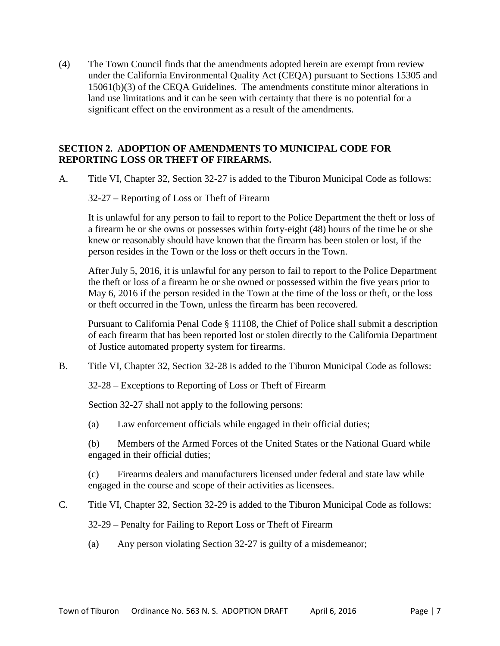(4) The Town Council finds that the amendments adopted herein are exempt from review under the California Environmental Quality Act (CEQA) pursuant to Sections 15305 and 15061(b)(3) of the CEQA Guidelines. The amendments constitute minor alterations in land use limitations and it can be seen with certainty that there is no potential for a significant effect on the environment as a result of the amendments.

## **SECTION 2. ADOPTION OF AMENDMENTS TO MUNICIPAL CODE FOR REPORTING LOSS OR THEFT OF FIREARMS.**

A. Title VI, Chapter 32, Section 32-27 is added to the Tiburon Municipal Code as follows:

32-27 – Reporting of Loss or Theft of Firearm

It is unlawful for any person to fail to report to the Police Department the theft or loss of a firearm he or she owns or possesses within forty-eight (48) hours of the time he or she knew or reasonably should have known that the firearm has been stolen or lost, if the person resides in the Town or the loss or theft occurs in the Town.

After July 5, 2016, it is unlawful for any person to fail to report to the Police Department the theft or loss of a firearm he or she owned or possessed within the five years prior to May 6, 2016 if the person resided in the Town at the time of the loss or theft, or the loss or theft occurred in the Town, unless the firearm has been recovered.

Pursuant to California Penal Code § 11108, the Chief of Police shall submit a description of each firearm that has been reported lost or stolen directly to the California Department of Justice automated property system for firearms.

B. Title VI, Chapter 32, Section 32-28 is added to the Tiburon Municipal Code as follows:

32-28 – Exceptions to Reporting of Loss or Theft of Firearm

Section 32-27 shall not apply to the following persons:

(a) Law enforcement officials while engaged in their official duties;

(b) Members of the Armed Forces of the United States or the National Guard while engaged in their official duties;

(c) Firearms dealers and manufacturers licensed under federal and state law while engaged in the course and scope of their activities as licensees.

C. Title VI, Chapter 32, Section 32-29 is added to the Tiburon Municipal Code as follows:

32-29 – Penalty for Failing to Report Loss or Theft of Firearm

(a) Any person violating Section 32-27 is guilty of a misdemeanor;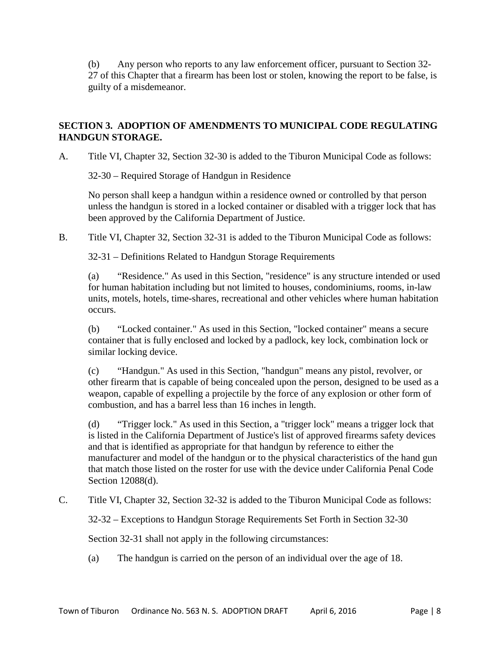(b) Any person who reports to any law enforcement officer, pursuant to Section 32- 27 of this Chapter that a firearm has been lost or stolen, knowing the report to be false, is guilty of a misdemeanor.

# **SECTION 3. ADOPTION OF AMENDMENTS TO MUNICIPAL CODE REGULATING HANDGUN STORAGE.**

A. Title VI, Chapter 32, Section 32-30 is added to the Tiburon Municipal Code as follows:

32-30 – Required Storage of Handgun in Residence

No person shall keep a handgun within a residence owned or controlled by that person unless the handgun is stored in a locked container or disabled with a trigger lock that has been approved by the California Department of Justice.

B. Title VI, Chapter 32, Section 32-31 is added to the Tiburon Municipal Code as follows:

32-31 – Definitions Related to Handgun Storage Requirements

(a) "Residence." As used in this Section, "residence" is any structure intended or used for human habitation including but not limited to houses, condominiums, rooms, in-law units, motels, hotels, time-shares, recreational and other vehicles where human habitation occurs.

(b) "Locked container." As used in this Section, "locked container" means a secure container that is fully enclosed and locked by a padlock, key lock, combination lock or similar locking device.

(c) "Handgun." As used in this Section, "handgun" means any pistol, revolver, or other firearm that is capable of being concealed upon the person, designed to be used as a weapon, capable of expelling a projectile by the force of any explosion or other form of combustion, and has a barrel less than 16 inches in length.

(d) "Trigger lock." As used in this Section, a "trigger lock" means a trigger lock that is listed in the California Department of Justice's list of approved firearms safety devices and that is identified as appropriate for that handgun by reference to either the manufacturer and model of the handgun or to the physical characteristics of the hand gun that match those listed on the roster for use with the device under California Penal Code Section 12088(d).

C. Title VI, Chapter 32, Section 32-32 is added to the Tiburon Municipal Code as follows:

32-32 – Exceptions to Handgun Storage Requirements Set Forth in Section 32-30

Section 32-31 shall not apply in the following circumstances:

(a) The handgun is carried on the person of an individual over the age of 18.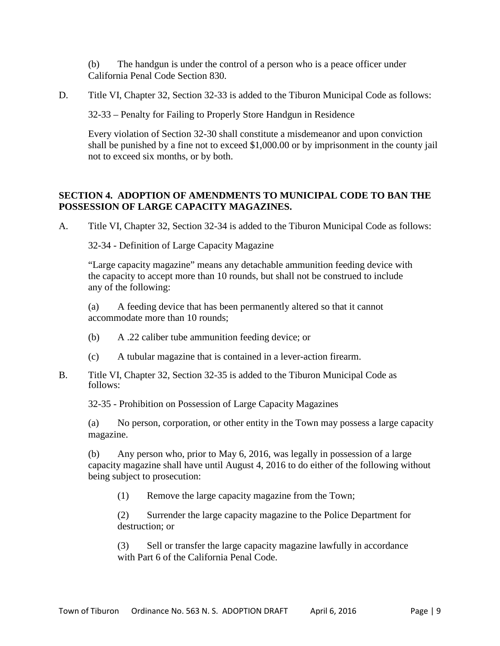(b) The handgun is under the control of a person who is a peace officer under California Penal Code Section 830.

D. Title VI, Chapter 32, Section 32-33 is added to the Tiburon Municipal Code as follows:

32-33 – Penalty for Failing to Properly Store Handgun in Residence

Every violation of Section 32-30 shall constitute a misdemeanor and upon conviction shall be punished by a fine not to exceed \$1,000.00 or by imprisonment in the county jail not to exceed six months, or by both.

# **SECTION 4. ADOPTION OF AMENDMENTS TO MUNICIPAL CODE TO BAN THE POSSESSION OF LARGE CAPACITY MAGAZINES.**

A. Title VI, Chapter 32, Section 32-34 is added to the Tiburon Municipal Code as follows:

32-34 - Definition of Large Capacity Magazine

"Large capacity magazine" means any detachable ammunition feeding device with the capacity to accept more than 10 rounds, but shall not be construed to include any of the following:

(a) A feeding device that has been permanently altered so that it cannot accommodate more than 10 rounds;

- (b) A .22 caliber tube ammunition feeding device; or
- (c) A tubular magazine that is contained in a lever-action firearm.
- B. Title VI, Chapter 32, Section 32-35 is added to the Tiburon Municipal Code as follows:

32-35 - Prohibition on Possession of Large Capacity Magazines

(a) No person, corporation, or other entity in the Town may possess a large capacity magazine.

(b) Any person who, prior to May 6, 2016, was legally in possession of a large capacity magazine shall have until August 4, 2016 to do either of the following without being subject to prosecution:

(1) Remove the large capacity magazine from the Town;

(2) Surrender the large capacity magazine to the Police Department for destruction; or

(3) Sell or transfer the large capacity magazine lawfully in accordance with Part 6 of the California Penal Code.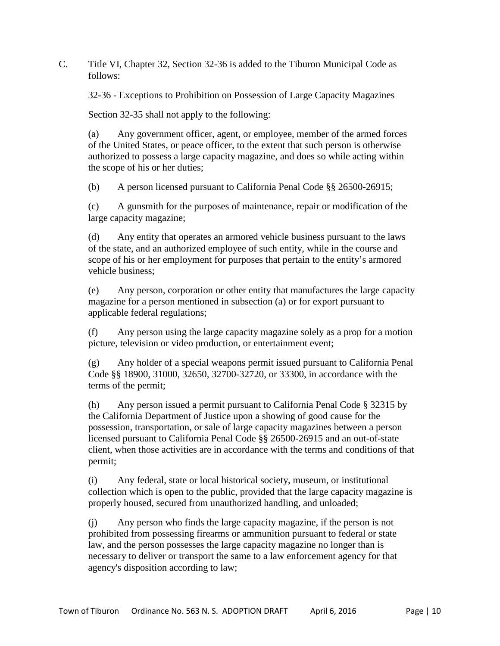C. Title VI, Chapter 32, Section 32-36 is added to the Tiburon Municipal Code as follows:

32-36 - Exceptions to Prohibition on Possession of Large Capacity Magazines

Section 32-35 shall not apply to the following:

(a) Any government officer, agent, or employee, member of the armed forces of the United States, or peace officer, to the extent that such person is otherwise authorized to possess a large capacity magazine, and does so while acting within the scope of his or her duties;

(b) A person licensed pursuant to California Penal Code §§ 26500-26915;

(c) A gunsmith for the purposes of maintenance, repair or modification of the large capacity magazine;

(d) Any entity that operates an armored vehicle business pursuant to the laws of the state, and an authorized employee of such entity, while in the course and scope of his or her employment for purposes that pertain to the entity's armored vehicle business;

(e) Any person, corporation or other entity that manufactures the large capacity magazine for a person mentioned in subsection (a) or for export pursuant to applicable federal regulations;

(f) Any person using the large capacity magazine solely as a prop for a motion picture, television or video production, or entertainment event;

(g) Any holder of a special weapons permit issued pursuant to California Penal Code §§ 18900, 31000, 32650, 32700-32720, or 33300, in accordance with the terms of the permit;

(h) Any person issued a permit pursuant to California Penal Code § 32315 by the California Department of Justice upon a showing of good cause for the possession, transportation, or sale of large capacity magazines between a person licensed pursuant to California Penal Code §§ 26500-26915 and an out-of-state client, when those activities are in accordance with the terms and conditions of that permit;

(i) Any federal, state or local historical society, museum, or institutional collection which is open to the public, provided that the large capacity magazine is properly housed, secured from unauthorized handling, and unloaded;

(j) Any person who finds the large capacity magazine, if the person is not prohibited from possessing firearms or ammunition pursuant to federal or state law, and the person possesses the large capacity magazine no longer than is necessary to deliver or transport the same to a law enforcement agency for that agency's disposition according to law;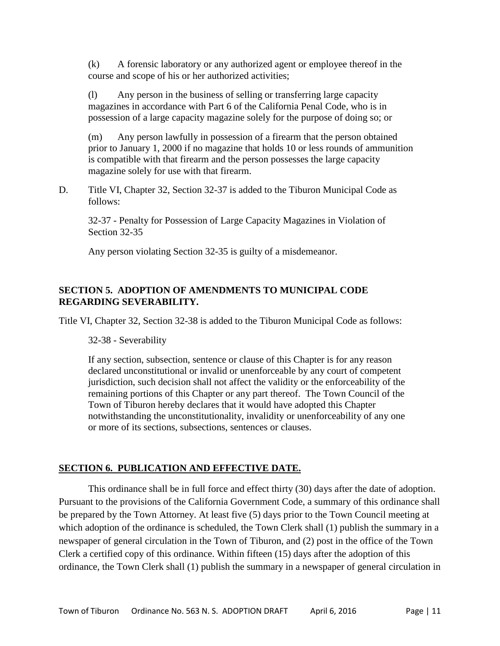(k) A forensic laboratory or any authorized agent or employee thereof in the course and scope of his or her authorized activities;

(l) Any person in the business of selling or transferring large capacity magazines in accordance with Part 6 of the California Penal Code, who is in possession of a large capacity magazine solely for the purpose of doing so; or

(m) Any person lawfully in possession of a firearm that the person obtained prior to January 1, 2000 if no magazine that holds 10 or less rounds of ammunition is compatible with that firearm and the person possesses the large capacity magazine solely for use with that firearm.

D. Title VI, Chapter 32, Section 32-37 is added to the Tiburon Municipal Code as follows:

32-37 - Penalty for Possession of Large Capacity Magazines in Violation of Section 32-35

Any person violating Section 32-35 is guilty of a misdemeanor.

# **SECTION 5. ADOPTION OF AMENDMENTS TO MUNICIPAL CODE REGARDING SEVERABILITY.**

Title VI, Chapter 32, Section 32-38 is added to the Tiburon Municipal Code as follows:

32-38 - Severability

If any section, subsection, sentence or clause of this Chapter is for any reason declared unconstitutional or invalid or unenforceable by any court of competent jurisdiction, such decision shall not affect the validity or the enforceability of the remaining portions of this Chapter or any part thereof. The Town Council of the Town of Tiburon hereby declares that it would have adopted this Chapter notwithstanding the unconstitutionality, invalidity or unenforceability of any one or more of its sections, subsections, sentences or clauses.

## **SECTION 6. PUBLICATION AND EFFECTIVE DATE.**

This ordinance shall be in full force and effect thirty (30) days after the date of adoption. Pursuant to the provisions of the California Government Code, a summary of this ordinance shall be prepared by the Town Attorney. At least five (5) days prior to the Town Council meeting at which adoption of the ordinance is scheduled, the Town Clerk shall (1) publish the summary in a newspaper of general circulation in the Town of Tiburon, and (2) post in the office of the Town Clerk a certified copy of this ordinance. Within fifteen (15) days after the adoption of this ordinance, the Town Clerk shall (1) publish the summary in a newspaper of general circulation in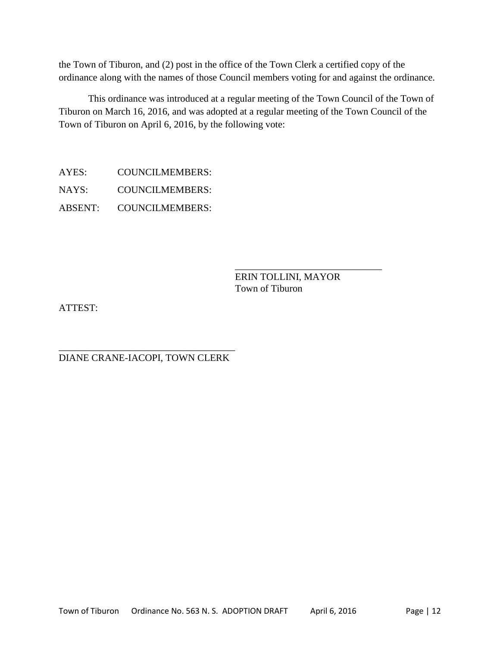the Town of Tiburon, and (2) post in the office of the Town Clerk a certified copy of the ordinance along with the names of those Council members voting for and against the ordinance.

This ordinance was introduced at a regular meeting of the Town Council of the Town of Tiburon on March 16, 2016, and was adopted at a regular meeting of the Town Council of the Town of Tiburon on April 6, 2016, by the following vote:

AYES: COUNCILMEMBERS: NAYS: COUNCILMEMBERS: ABSENT: COUNCILMEMBERS:

> \_\_\_\_\_\_\_\_\_\_\_\_\_\_\_\_\_\_\_\_\_\_\_\_\_\_\_\_\_\_ ERIN TOLLINI, MAYOR Town of Tiburon

ATTEST:

\_\_\_\_\_\_\_\_\_\_\_\_\_\_\_\_\_\_\_\_\_\_\_\_\_\_\_\_\_\_\_\_\_\_\_\_ DIANE CRANE-IACOPI, TOWN CLERK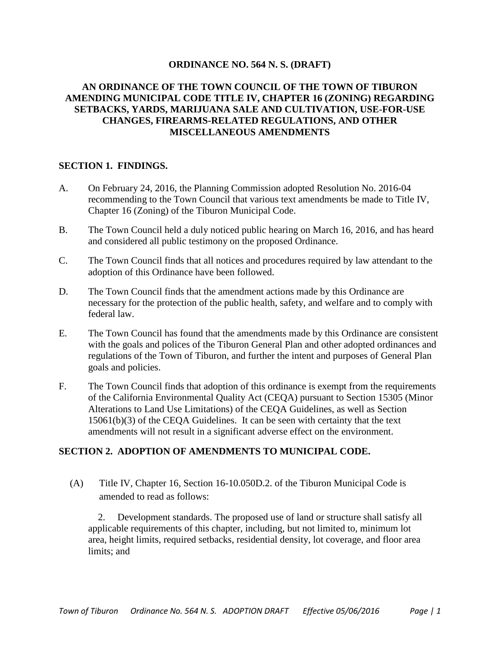#### **ORDINANCE NO. 564 N. S. (DRAFT)**

## **AN ORDINANCE OF THE TOWN COUNCIL OF THE TOWN OF TIBURON AMENDING MUNICIPAL CODE TITLE IV, CHAPTER 16 (ZONING) REGARDING SETBACKS, YARDS, MARIJUANA SALE AND CULTIVATION, USE-FOR-USE CHANGES, FIREARMS-RELATED REGULATIONS, AND OTHER MISCELLANEOUS AMENDMENTS**

#### **SECTION 1. FINDINGS.**

- A. On February 24, 2016, the Planning Commission adopted Resolution No. 2016-04 recommending to the Town Council that various text amendments be made to Title IV, Chapter 16 (Zoning) of the Tiburon Municipal Code.
- B. The Town Council held a duly noticed public hearing on March 16, 2016, and has heard and considered all public testimony on the proposed Ordinance.
- C. The Town Council finds that all notices and procedures required by law attendant to the adoption of this Ordinance have been followed.
- D. The Town Council finds that the amendment actions made by this Ordinance are necessary for the protection of the public health, safety, and welfare and to comply with federal law.
- E. The Town Council has found that the amendments made by this Ordinance are consistent with the goals and polices of the Tiburon General Plan and other adopted ordinances and regulations of the Town of Tiburon, and further the intent and purposes of General Plan goals and policies.
- F. The Town Council finds that adoption of this ordinance is exempt from the requirements of the California Environmental Quality Act (CEQA) pursuant to Section 15305 (Minor Alterations to Land Use Limitations) of the CEQA Guidelines, as well as Section 15061(b)(3) of the CEQA Guidelines. It can be seen with certainty that the text amendments will not result in a significant adverse effect on the environment.

#### **SECTION 2. ADOPTION OF AMENDMENTS TO MUNICIPAL CODE.**

(A) Title IV, Chapter 16, Section 16-10.050D.2. of the Tiburon Municipal Code is amended to read as follows:

2. Development standards. The proposed use of land or structure shall satisfy all applicable requirements of this chapter, including, but not limited to, minimum lot area, height limits, required setbacks, residential density, lot coverage, and floor area limits; and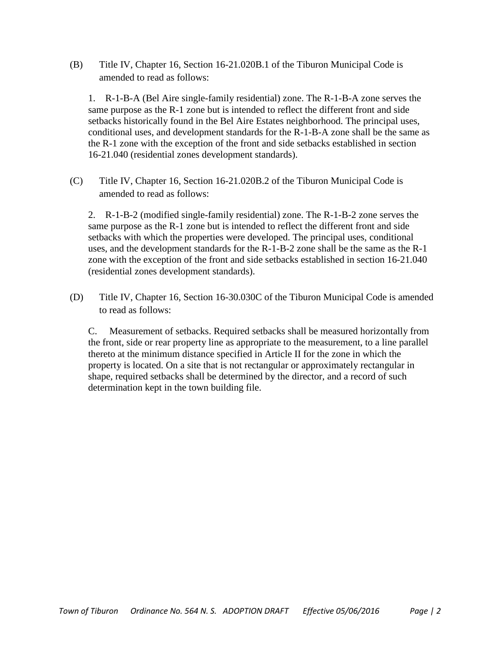(B) Title IV, Chapter 16, Section 16-21.020B.1 of the Tiburon Municipal Code is amended to read as follows:

1. R-1-B-A (Bel Aire single-family residential) zone. The R-1-B-A zone serves the same purpose as the R-1 zone but is intended to reflect the different front and side setbacks historically found in the Bel Aire Estates neighborhood. The principal uses, conditional uses, and development standards for the R-1-B-A zone shall be the same as the R-1 zone with the exception of the front and side setbacks established in section 16-21.040 (residential zones development standards).

(C) Title IV, Chapter 16, Section 16-21.020B.2 of the Tiburon Municipal Code is amended to read as follows:

2. R-1-B-2 (modified single-family residential) zone. The R-1-B-2 zone serves the same purpose as the R-1 zone but is intended to reflect the different front and side setbacks with which the properties were developed. The principal uses, conditional uses, and the development standards for the R-1-B-2 zone shall be the same as the R-1 zone with the exception of the front and side setbacks established in section 16-21.040 (residential zones development standards).

(D) Title IV, Chapter 16, Section 16-30.030C of the Tiburon Municipal Code is amended to read as follows:

C. Measurement of setbacks. Required setbacks shall be measured horizontally from the front, side or rear property line as appropriate to the measurement, to a line parallel thereto at the minimum distance specified in Article II for the zone in which the property is located. On a site that is not rectangular or approximately rectangular in shape, required setbacks shall be determined by the director, and a record of such determination kept in the town building file.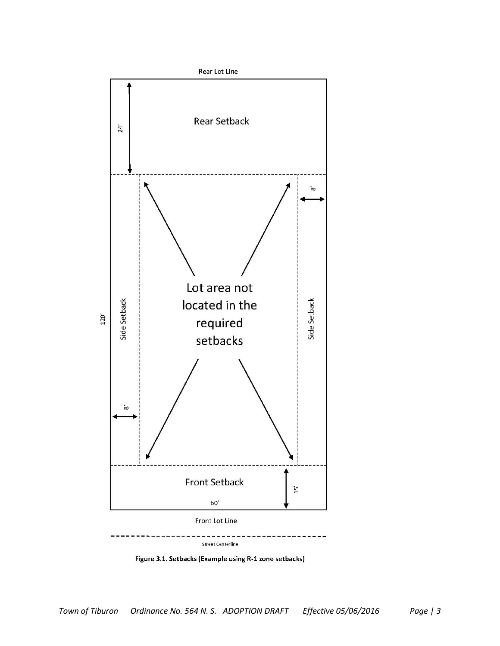

Figure 3.1. Setbacks (Example using R-1 zone setbacks)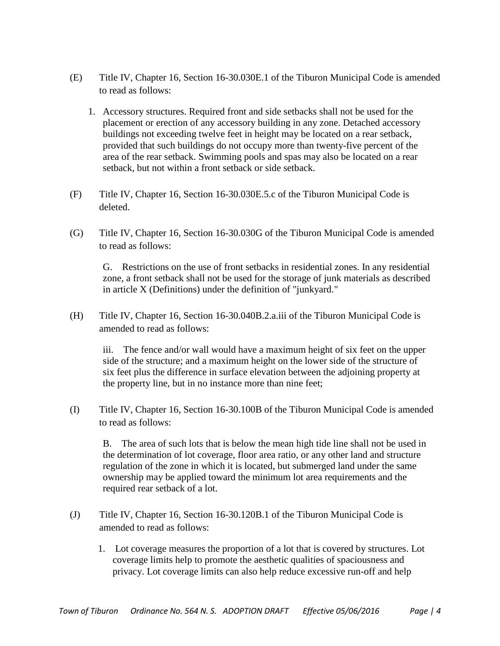- (E) Title IV, Chapter 16, Section 16-30.030E.1 of the Tiburon Municipal Code is amended to read as follows:
	- 1. Accessory structures. Required front and side setbacks shall not be used for the placement or erection of any accessory building in any zone. Detached accessory buildings not exceeding twelve feet in height may be located on a rear setback, provided that such buildings do not occupy more than twenty-five percent of the area of the rear setback. Swimming pools and spas may also be located on a rear setback, but not within a front setback or side setback.
- (F) Title IV, Chapter 16, Section 16-30.030E.5.c of the Tiburon Municipal Code is deleted.
- (G) Title IV, Chapter 16, Section 16-30.030G of the Tiburon Municipal Code is amended to read as follows:

G. Restrictions on the use of front setbacks in residential zones. In any residential zone, a front setback shall not be used for the storage of junk materials as described in article X (Definitions) under the definition of "junkyard."

(H) Title IV, Chapter 16, Section 16-30.040B.2.a.iii of the Tiburon Municipal Code is amended to read as follows:

iii. The fence and/or wall would have a maximum height of six feet on the upper side of the structure; and a maximum height on the lower side of the structure of six feet plus the difference in surface elevation between the adjoining property at the property line, but in no instance more than nine feet;

(I) Title IV, Chapter 16, Section 16-30.100B of the Tiburon Municipal Code is amended to read as follows:

B. The area of such lots that is below the mean high tide line shall not be used in the determination of lot coverage, floor area ratio, or any other land and structure regulation of the zone in which it is located, but submerged land under the same ownership may be applied toward the minimum lot area requirements and the required rear setback of a lot.

- (J) Title IV, Chapter 16, Section 16-30.120B.1 of the Tiburon Municipal Code is amended to read as follows:
	- 1. Lot coverage measures the proportion of a lot that is covered by structures. Lot coverage limits help to promote the aesthetic qualities of spaciousness and privacy. Lot coverage limits can also help reduce excessive run-off and help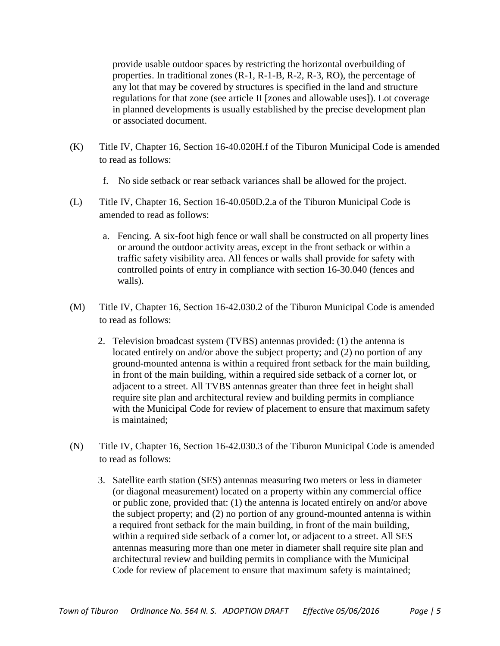provide usable outdoor spaces by restricting the horizontal overbuilding of properties. In traditional zones (R-1, R-1-B, R-2, R-3, RO), the percentage of any lot that may be covered by structures is specified in the land and structure regulations for that zone (see article II [zones and allowable uses]). Lot coverage in planned developments is usually established by the precise development plan or associated document.

- (K) Title IV, Chapter 16, Section 16-40.020H.f of the Tiburon Municipal Code is amended to read as follows:
	- f. No side setback or rear setback variances shall be allowed for the project.
- (L) Title IV, Chapter 16, Section 16-40.050D.2.a of the Tiburon Municipal Code is amended to read as follows:
	- a. Fencing. A six-foot high fence or wall shall be constructed on all property lines or around the outdoor activity areas, except in the front setback or within a traffic safety visibility area. All fences or walls shall provide for safety with controlled points of entry in compliance with section 16-30.040 (fences and walls).
- (M) Title IV, Chapter 16, Section 16-42.030.2 of the Tiburon Municipal Code is amended to read as follows:
	- 2. Television broadcast system (TVBS) antennas provided: (1) the antenna is located entirely on and/or above the subject property; and (2) no portion of any ground-mounted antenna is within a required front setback for the main building, in front of the main building, within a required side setback of a corner lot, or adjacent to a street. All TVBS antennas greater than three feet in height shall require site plan and architectural review and building permits in compliance with the Municipal Code for review of placement to ensure that maximum safety is maintained;
- (N) Title IV, Chapter 16, Section 16-42.030.3 of the Tiburon Municipal Code is amended to read as follows:
	- 3. Satellite earth station (SES) antennas measuring two meters or less in diameter (or diagonal measurement) located on a property within any commercial office or public zone, provided that: (1) the antenna is located entirely on and/or above the subject property; and (2) no portion of any ground-mounted antenna is within a required front setback for the main building, in front of the main building, within a required side setback of a corner lot, or adjacent to a street. All SES antennas measuring more than one meter in diameter shall require site plan and architectural review and building permits in compliance with the Municipal Code for review of placement to ensure that maximum safety is maintained;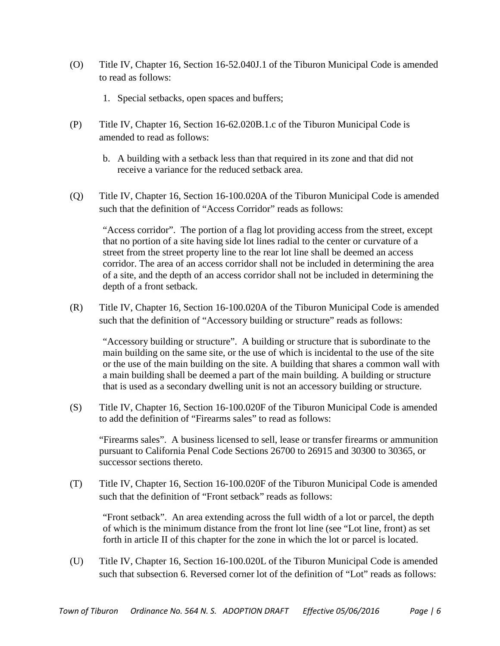- (O) Title IV, Chapter 16, Section 16-52.040J.1 of the Tiburon Municipal Code is amended to read as follows:
	- 1. Special setbacks, open spaces and buffers;
- (P) Title IV, Chapter 16, Section 16-62.020B.1.c of the Tiburon Municipal Code is amended to read as follows:
	- b. A building with a setback less than that required in its zone and that did not receive a variance for the reduced setback area.
- (Q) Title IV, Chapter 16, Section 16-100.020A of the Tiburon Municipal Code is amended such that the definition of "Access Corridor" reads as follows:

"Access corridor". The portion of a flag lot providing access from the street, except that no portion of a site having side lot lines radial to the center or curvature of a street from the street property line to the rear lot line shall be deemed an access corridor. The area of an access corridor shall not be included in determining the area of a site, and the depth of an access corridor shall not be included in determining the depth of a front setback.

(R) Title IV, Chapter 16, Section 16-100.020A of the Tiburon Municipal Code is amended such that the definition of "Accessory building or structure" reads as follows:

"Accessory building or structure". A building or structure that is subordinate to the main building on the same site, or the use of which is incidental to the use of the site or the use of the main building on the site. A building that shares a common wall with a main building shall be deemed a part of the main building. A building or structure that is used as a secondary dwelling unit is not an accessory building or structure.

(S) Title IV, Chapter 16, Section 16-100.020F of the Tiburon Municipal Code is amended to add the definition of "Firearms sales" to read as follows:

"Firearms sales". A business licensed to sell, lease or transfer firearms or ammunition pursuant to California Penal Code Sections 26700 to 26915 and 30300 to 30365, or successor sections thereto.

(T) Title IV, Chapter 16, Section 16-100.020F of the Tiburon Municipal Code is amended such that the definition of "Front setback" reads as follows:

"Front setback". An area extending across the full width of a lot or parcel, the depth of which is the minimum distance from the front lot line (see "Lot line, front) as set forth in article II of this chapter for the zone in which the lot or parcel is located.

(U) Title IV, Chapter 16, Section 16-100.020L of the Tiburon Municipal Code is amended such that subsection 6. Reversed corner lot of the definition of "Lot" reads as follows: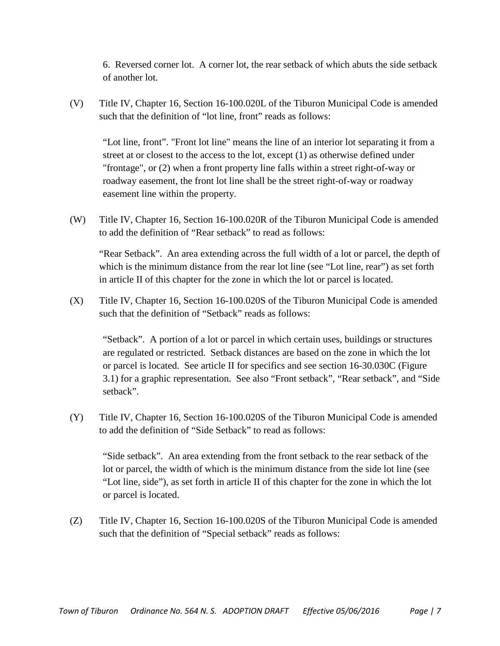6. Reversed corner lot. A corner lot, the rear setback of which abuts the side setback of another lot.

(V) Title IV, Chapter 16, Section 16-100.020L of the Tiburon Municipal Code is amended such that the definition of "lot line, front" reads as follows:

"Lot line, front". "Front lot line" means the line of an interior lot separating it from a street at or closest to the access to the lot, except (1) as otherwise defined under "frontage", or (2) when a front property line falls within a street right-of-way or roadway easement, the front lot line shall be the street right-of-way or roadway easement line within the property.

(W) Title IV, Chapter 16, Section 16-100.020R of the Tiburon Municipal Code is amended to add the definition of "Rear setback" to read as follows:

"Rear Setback". An area extending across the full width of a lot or parcel, the depth of which is the minimum distance from the rear lot line (see "Lot line, rear") as set forth in article II of this chapter for the zone in which the lot or parcel is located.

(X) Title IV, Chapter 16, Section 16-100.020S of the Tiburon Municipal Code is amended such that the definition of "Setback" reads as follows:

"Setback". A portion of a lot or parcel in which certain uses, buildings or structures are regulated or restricted. Setback distances are based on the zone in which the lot or parcel is located. See article II for specifics and see section 16-30.030C (Figure 3.1) for a graphic representation. See also "Front setback", "Rear setback", and "Side setback".

(Y) Title IV, Chapter 16, Section 16-100.020S of the Tiburon Municipal Code is amended to add the definition of "Side Setback" to read as follows:

"Side setback". An area extending from the front setback to the rear setback of the lot or parcel, the width of which is the minimum distance from the side lot line (see "Lot line, side"), as set forth in article II of this chapter for the zone in which the lot or parcel is located.

(Z) Title IV, Chapter 16, Section 16-100.020S of the Tiburon Municipal Code is amended such that the definition of "Special setback" reads as follows: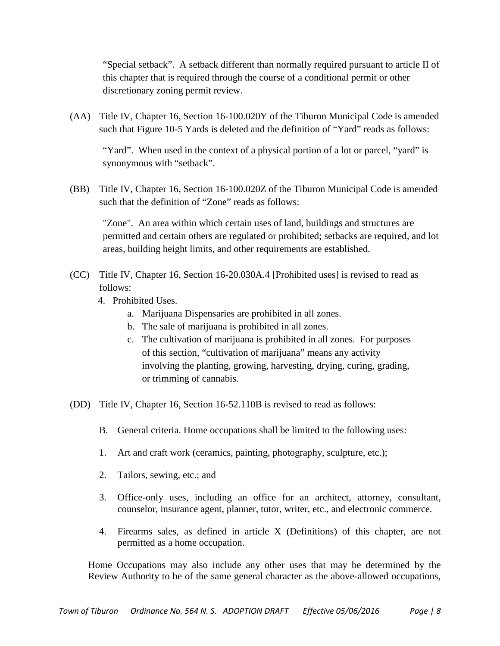"Special setback". A setback different than normally required pursuant to article II of this chapter that is required through the course of a conditional permit or other discretionary zoning permit review.

(AA) Title IV, Chapter 16, Section 16-100.020Y of the Tiburon Municipal Code is amended such that Figure 10-5 Yards is deleted and the definition of "Yard" reads as follows:

"Yard". When used in the context of a physical portion of a lot or parcel, "yard" is synonymous with "setback".

(BB) Title IV, Chapter 16, Section 16-100.020Z of the Tiburon Municipal Code is amended such that the definition of "Zone" reads as follows:

"Zone". An area within which certain uses of land, buildings and structures are permitted and certain others are regulated or prohibited; setbacks are required, and lot areas, building height limits, and other requirements are established.

- (CC) Title IV, Chapter 16, Section 16-20.030A.4 [Prohibited uses] is revised to read as follows:
	- 4. Prohibited Uses.
		- a. Marijuana Dispensaries are prohibited in all zones.
		- b. The sale of marijuana is prohibited in all zones.
		- c. The cultivation of marijuana is prohibited in all zones. For purposes of this section, "cultivation of marijuana" means any activity involving the planting, growing, harvesting, drying, curing, grading, or trimming of cannabis.
- (DD) Title IV, Chapter 16, Section 16-52.110B is revised to read as follows:
	- B. General criteria. Home occupations shall be limited to the following uses:
	- 1. Art and craft work (ceramics, painting, photography, sculpture, etc.);
	- 2. Tailors, sewing, etc.; and
	- 3. Office-only uses, including an office for an architect, attorney, consultant, counselor, insurance agent, planner, tutor, writer, etc., and electronic commerce.
	- 4. Firearms sales, as defined in article X (Definitions) of this chapter, are not permitted as a home occupation.

Home Occupations may also include any other uses that may be determined by the Review Authority to be of the same general character as the above-allowed occupations,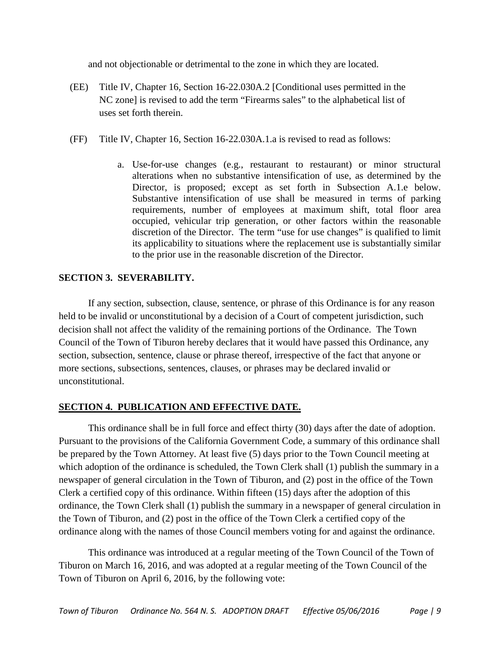and not objectionable or detrimental to the zone in which they are located.

- (EE) Title IV, Chapter 16, Section 16-22.030A.2 [Conditional uses permitted in the NC zone] is revised to add the term "Firearms sales" to the alphabetical list of uses set forth therein.
- (FF) Title IV, Chapter 16, Section 16-22.030A.1.a is revised to read as follows:
	- a. Use-for-use changes (e.g., restaurant to restaurant) or minor structural alterations when no substantive intensification of use, as determined by the Director, is proposed; except as set forth in Subsection A.1.e below. Substantive intensification of use shall be measured in terms of parking requirements, number of employees at maximum shift, total floor area occupied, vehicular trip generation, or other factors within the reasonable discretion of the Director. The term "use for use changes" is qualified to limit its applicability to situations where the replacement use is substantially similar to the prior use in the reasonable discretion of the Director.

### **SECTION 3. SEVERABILITY.**

If any section, subsection, clause, sentence, or phrase of this Ordinance is for any reason held to be invalid or unconstitutional by a decision of a Court of competent jurisdiction, such decision shall not affect the validity of the remaining portions of the Ordinance. The Town Council of the Town of Tiburon hereby declares that it would have passed this Ordinance, any section, subsection, sentence, clause or phrase thereof, irrespective of the fact that anyone or more sections, subsections, sentences, clauses, or phrases may be declared invalid or unconstitutional.

## **SECTION 4. PUBLICATION AND EFFECTIVE DATE.**

This ordinance shall be in full force and effect thirty (30) days after the date of adoption. Pursuant to the provisions of the California Government Code, a summary of this ordinance shall be prepared by the Town Attorney. At least five (5) days prior to the Town Council meeting at which adoption of the ordinance is scheduled, the Town Clerk shall (1) publish the summary in a newspaper of general circulation in the Town of Tiburon, and (2) post in the office of the Town Clerk a certified copy of this ordinance. Within fifteen (15) days after the adoption of this ordinance, the Town Clerk shall (1) publish the summary in a newspaper of general circulation in the Town of Tiburon, and (2) post in the office of the Town Clerk a certified copy of the ordinance along with the names of those Council members voting for and against the ordinance.

This ordinance was introduced at a regular meeting of the Town Council of the Town of Tiburon on March 16, 2016, and was adopted at a regular meeting of the Town Council of the Town of Tiburon on April 6, 2016, by the following vote: